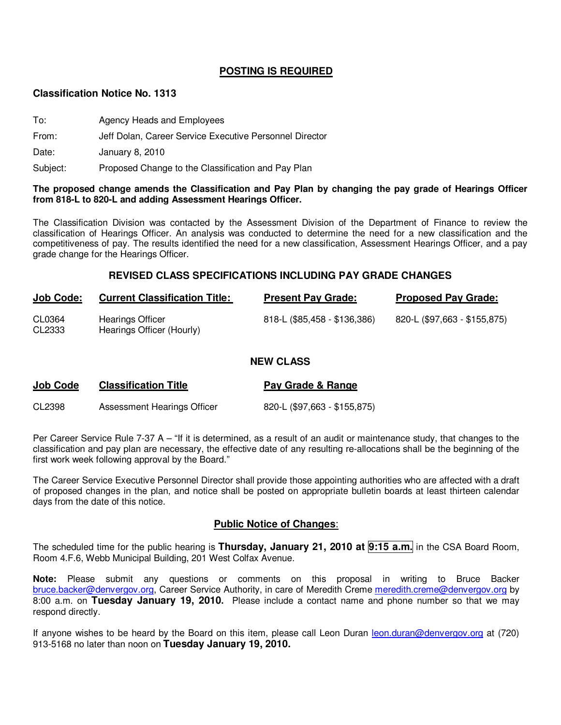# **POSTING IS REQUIRED**

### **Classification Notice No. 1313**

- To: Agency Heads and Employees
- From: Jeff Dolan, Career Service Executive Personnel Director

Date: January 8, 2010

Subject: Proposed Change to the Classification and Pay Plan

#### **The proposed change amends the Classification and Pay Plan by changing the pay grade of Hearings Officer from 818-L to 820-L and adding Assessment Hearings Officer.**

The Classification Division was contacted by the Assessment Division of the Department of Finance to review the classification of Hearings Officer. An analysis was conducted to determine the need for a new classification and the competitiveness of pay. The results identified the need for a new classification, Assessment Hearings Officer, and a pay grade change for the Hearings Officer.

### **REVISED CLASS SPECIFICATIONS INCLUDING PAY GRADE CHANGES**

| <b>Job Code:</b> | <b>Current Classification Title:</b>                 | <b>Present Pay Grade:</b>    | <b>Proposed Pay Grade:</b>   |
|------------------|------------------------------------------------------|------------------------------|------------------------------|
| CL0364<br>CL2333 | <b>Hearings Officer</b><br>Hearings Officer (Hourly) | 818-L (\$85,458 - \$136,386) | 820-L (\$97,663 - \$155,875) |

#### **NEW CLASS**

| <b>Job Code</b> | <b>Classification Title</b> | Pay Grade & Range            |
|-----------------|-----------------------------|------------------------------|
| CL2398          | Assessment Hearings Officer | 820-L (\$97,663 - \$155,875) |

Per Career Service Rule 7-37 A – "If it is determined, as a result of an audit or maintenance study, that changes to the classification and pay plan are necessary, the effective date of any resulting re-allocations shall be the beginning of the first work week following approval by the Board."

The Career Service Executive Personnel Director shall provide those appointing authorities who are affected with a draft of proposed changes in the plan, and notice shall be posted on appropriate bulletin boards at least thirteen calendar days from the date of this notice.

### **Public Notice of Changes**:

The scheduled time for the public hearing is **Thursday, January 21, 2010 at 9:15 a.m.** in the CSA Board Room, Room 4.F.6, Webb Municipal Building, 201 West Colfax Avenue.

**Note:** Please submit any questions or comments on this proposal in writing to Bruce Backer bruce.backer@denvergov.org, Career Service Authority, in care of Meredith Creme meredith.creme@denvergov.org by 8:00 a.m. on **Tuesday January 19, 2010.** Please include a contact name and phone number so that we may respond directly.

If anyone wishes to be heard by the Board on this item, please call Leon Duran leon.duran@denvergov.org at (720) 913-5168 no later than noon on **Tuesday January 19, 2010.**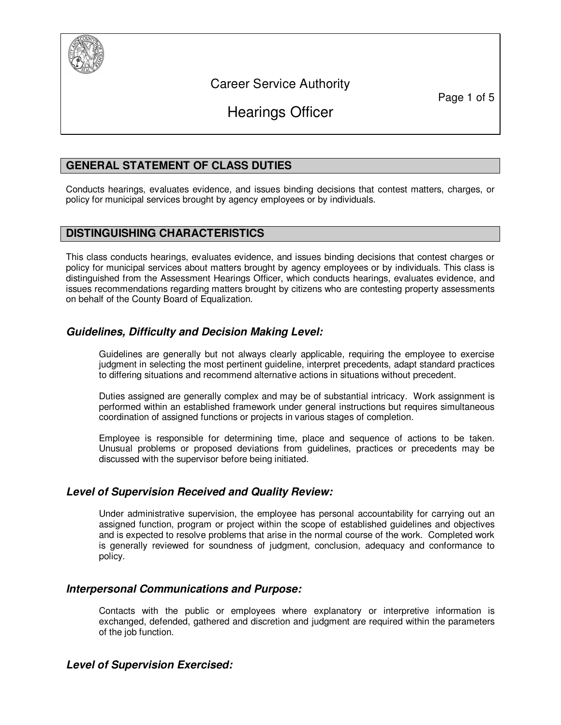

# Career Service Authority

Page 1 of 5

# Hearings Officer

# **GENERAL STATEMENT OF CLASS DUTIES**

Conducts hearings, evaluates evidence, and issues binding decisions that contest matters, charges, or policy for municipal services brought by agency employees or by individuals.

# **DISTINGUISHING CHARACTERISTICS**

This class conducts hearings, evaluates evidence, and issues binding decisions that contest charges or policy for municipal services about matters brought by agency employees or by individuals. This class is distinguished from the Assessment Hearings Officer, which conducts hearings, evaluates evidence, and issues recommendations regarding matters brought by citizens who are contesting property assessments on behalf of the County Board of Equalization.

# **Guidelines, Difficulty and Decision Making Level:**

Guidelines are generally but not always clearly applicable, requiring the employee to exercise judgment in selecting the most pertinent guideline, interpret precedents, adapt standard practices to differing situations and recommend alternative actions in situations without precedent.

Duties assigned are generally complex and may be of substantial intricacy. Work assignment is performed within an established framework under general instructions but requires simultaneous coordination of assigned functions or projects in various stages of completion.

Employee is responsible for determining time, place and sequence of actions to be taken. Unusual problems or proposed deviations from guidelines, practices or precedents may be discussed with the supervisor before being initiated.

# **Level of Supervision Received and Quality Review:**

Under administrative supervision, the employee has personal accountability for carrying out an assigned function, program or project within the scope of established guidelines and objectives and is expected to resolve problems that arise in the normal course of the work. Completed work is generally reviewed for soundness of judgment, conclusion, adequacy and conformance to policy.

# **Interpersonal Communications and Purpose:**

Contacts with the public or employees where explanatory or interpretive information is exchanged, defended, gathered and discretion and judgment are required within the parameters of the job function.

# **Level of Supervision Exercised:**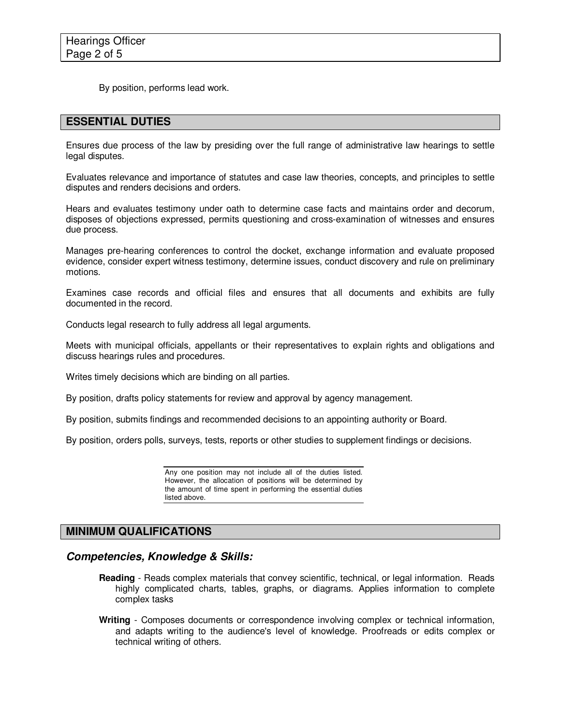By position, performs lead work.

# **ESSENTIAL DUTIES**

Ensures due process of the law by presiding over the full range of administrative law hearings to settle legal disputes.

Evaluates relevance and importance of statutes and case law theories, concepts, and principles to settle disputes and renders decisions and orders.

Hears and evaluates testimony under oath to determine case facts and maintains order and decorum, disposes of objections expressed, permits questioning and cross-examination of witnesses and ensures due process.

Manages pre-hearing conferences to control the docket, exchange information and evaluate proposed evidence, consider expert witness testimony, determine issues, conduct discovery and rule on preliminary motions.

Examines case records and official files and ensures that all documents and exhibits are fully documented in the record.

Conducts legal research to fully address all legal arguments.

Meets with municipal officials, appellants or their representatives to explain rights and obligations and discuss hearings rules and procedures.

Writes timely decisions which are binding on all parties.

By position, drafts policy statements for review and approval by agency management.

By position, submits findings and recommended decisions to an appointing authority or Board.

By position, orders polls, surveys, tests, reports or other studies to supplement findings or decisions.

Any one position may not include all of the duties listed. However, the allocation of positions will be determined by the amount of time spent in performing the essential duties listed above.

# **MINIMUM QUALIFICATIONS**

### **Competencies, Knowledge & Skills:**

- **Reading** Reads complex materials that convey scientific, technical, or legal information. Reads highly complicated charts, tables, graphs, or diagrams. Applies information to complete complex tasks
- **Writing** Composes documents or correspondence involving complex or technical information, and adapts writing to the audience's level of knowledge. Proofreads or edits complex or technical writing of others.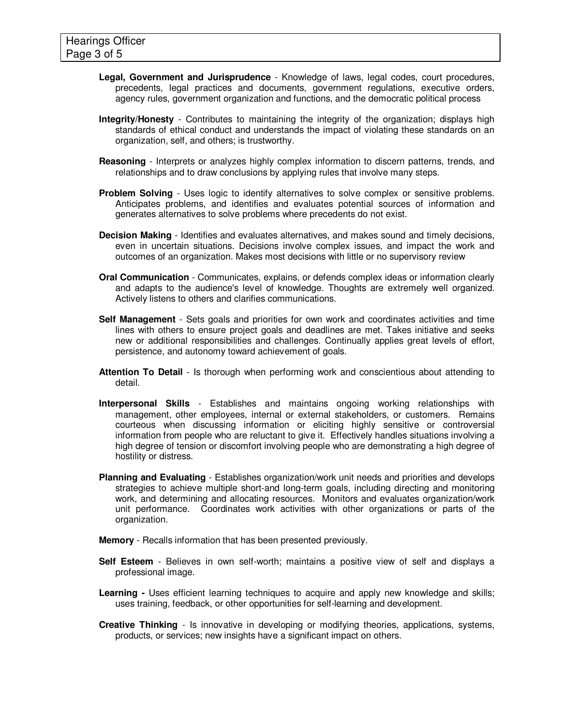- **Legal, Government and Jurisprudence** Knowledge of laws, legal codes, court procedures, precedents, legal practices and documents, government regulations, executive orders, agency rules, government organization and functions, and the democratic political process
- **Integrity/Honesty** Contributes to maintaining the integrity of the organization; displays high standards of ethical conduct and understands the impact of violating these standards on an organization, self, and others; is trustworthy.
- **Reasoning** Interprets or analyzes highly complex information to discern patterns, trends, and relationships and to draw conclusions by applying rules that involve many steps.
- **Problem Solving** Uses logic to identify alternatives to solve complex or sensitive problems. Anticipates problems, and identifies and evaluates potential sources of information and generates alternatives to solve problems where precedents do not exist.
- **Decision Making**  Identifies and evaluates alternatives, and makes sound and timely decisions, even in uncertain situations. Decisions involve complex issues, and impact the work and outcomes of an organization. Makes most decisions with little or no supervisory review
- **Oral Communication** Communicates, explains, or defends complex ideas or information clearly and adapts to the audience's level of knowledge. Thoughts are extremely well organized. Actively listens to others and clarifies communications.
- **Self Management** Sets goals and priorities for own work and coordinates activities and time lines with others to ensure project goals and deadlines are met. Takes initiative and seeks new or additional responsibilities and challenges. Continually applies great levels of effort, persistence, and autonomy toward achievement of goals.
- **Attention To Detail** Is thorough when performing work and conscientious about attending to detail.
- **Interpersonal Skills** Establishes and maintains ongoing working relationships with management, other employees, internal or external stakeholders, or customers. Remains courteous when discussing information or eliciting highly sensitive or controversial information from people who are reluctant to give it. Effectively handles situations involving a high degree of tension or discomfort involving people who are demonstrating a high degree of hostility or distress.
- **Planning and Evaluating** Establishes organization/work unit needs and priorities and develops strategies to achieve multiple short-and long-term goals, including directing and monitoring work, and determining and allocating resources. Monitors and evaluates organization/work unit performance. Coordinates work activities with other organizations or parts of the organization.
- **Memory** Recalls information that has been presented previously.
- **Self Esteem** Believes in own self-worth; maintains a positive view of self and displays a professional image.
- **Learning -** Uses efficient learning techniques to acquire and apply new knowledge and skills; uses training, feedback, or other opportunities for self-learning and development.
- **Creative Thinking** Is innovative in developing or modifying theories, applications, systems, products, or services; new insights have a significant impact on others.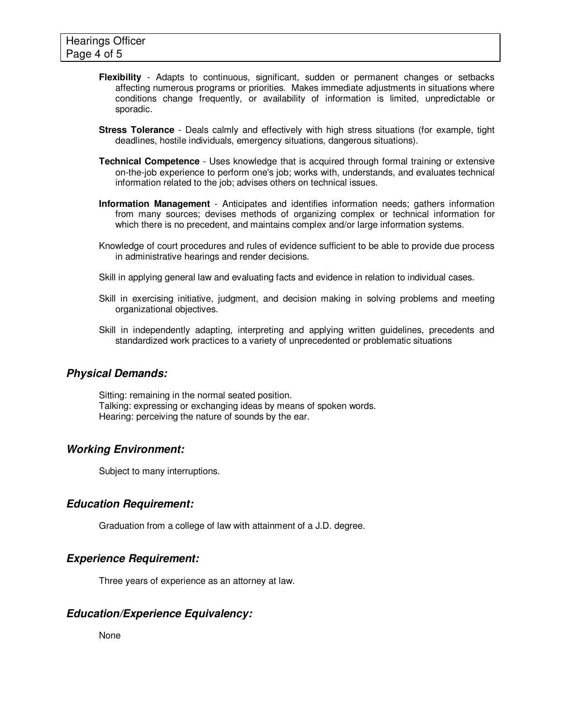- **Flexibility** Adapts to continuous, significant, sudden or permanent changes or setbacks affecting numerous programs or priorities. Makes immediate adjustments in situations where conditions change frequently, or availability of information is limited, unpredictable or sporadic.
- **Stress Tolerance** Deals calmly and effectively with high stress situations (for example, tight deadlines, hostile individuals, emergency situations, dangerous situations).
- **Technical Competence** Uses knowledge that is acquired through formal training or extensive on-the-job experience to perform one's job; works with, understands, and evaluates technical information related to the job; advises others on technical issues.
- **Information Management** Anticipates and identifies information needs; gathers information from many sources; devises methods of organizing complex or technical information for which there is no precedent, and maintains complex and/or large information systems.
- Knowledge of court procedures and rules of evidence sufficient to be able to provide due process in administrative hearings and render decisions.
- Skill in applying general law and evaluating facts and evidence in relation to individual cases.
- Skill in exercising initiative, judgment, and decision making in solving problems and meeting organizational objectives.
- Skill in independently adapting, interpreting and applying written guidelines, precedents and standardized work practices to a variety of unprecedented or problematic situations

### **Physical Demands:**

Sitting: remaining in the normal seated position. Talking: expressing or exchanging ideas by means of spoken words. Hearing: perceiving the nature of sounds by the ear.

# **Working Environment:**

Subject to many interruptions.

### **Education Requirement:**

Graduation from a college of law with attainment of a J.D. degree.

### **Experience Requirement:**

Three years of experience as an attorney at law.

# **Education/Experience Equivalency:**

None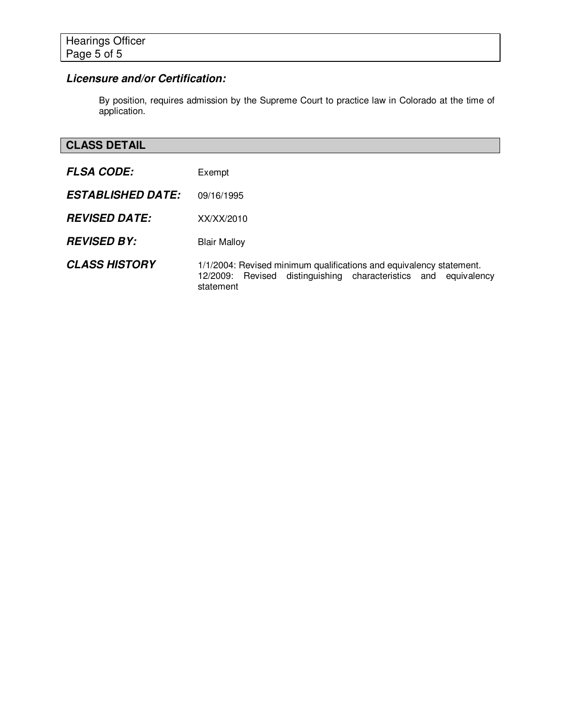# **Licensure and/or Certification:**

By position, requires admission by the Supreme Court to practice law in Colorado at the time of application.

# **CLASS DETAIL**

| <b>FLSA CODE:</b>        | Exempt                                                                                                                                              |
|--------------------------|-----------------------------------------------------------------------------------------------------------------------------------------------------|
| <b>ESTABLISHED DATE:</b> | 09/16/1995                                                                                                                                          |
| <b>REVISED DATE:</b>     | XX/XX/2010                                                                                                                                          |
| <b>REVISED BY:</b>       | <b>Blair Malloy</b>                                                                                                                                 |
| <b>CLASS HISTORY</b>     | 1/1/2004: Revised minimum qualifications and equivalency statement.<br>12/2009: Revised distinguishing characteristics and equivalency<br>statement |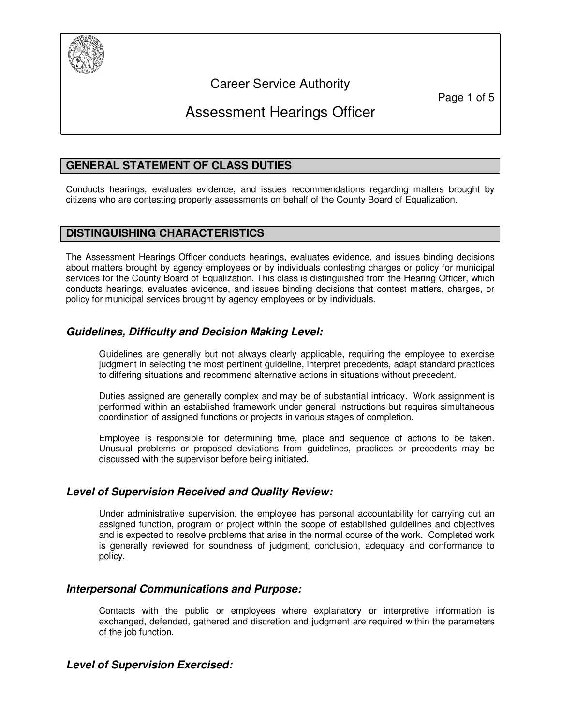

# Career Service Authority

Page 1 of 5

# Assessment Hearings Officer

# **GENERAL STATEMENT OF CLASS DUTIES**

Conducts hearings, evaluates evidence, and issues recommendations regarding matters brought by citizens who are contesting property assessments on behalf of the County Board of Equalization.

# **DISTINGUISHING CHARACTERISTICS**

The Assessment Hearings Officer conducts hearings, evaluates evidence, and issues binding decisions about matters brought by agency employees or by individuals contesting charges or policy for municipal services for the County Board of Equalization. This class is distinguished from the Hearing Officer, which conducts hearings, evaluates evidence, and issues binding decisions that contest matters, charges, or policy for municipal services brought by agency employees or by individuals.

# **Guidelines, Difficulty and Decision Making Level:**

Guidelines are generally but not always clearly applicable, requiring the employee to exercise judgment in selecting the most pertinent guideline, interpret precedents, adapt standard practices to differing situations and recommend alternative actions in situations without precedent.

Duties assigned are generally complex and may be of substantial intricacy. Work assignment is performed within an established framework under general instructions but requires simultaneous coordination of assigned functions or projects in various stages of completion.

Employee is responsible for determining time, place and sequence of actions to be taken. Unusual problems or proposed deviations from guidelines, practices or precedents may be discussed with the supervisor before being initiated.

### **Level of Supervision Received and Quality Review:**

Under administrative supervision, the employee has personal accountability for carrying out an assigned function, program or project within the scope of established guidelines and objectives and is expected to resolve problems that arise in the normal course of the work. Completed work is generally reviewed for soundness of judgment, conclusion, adequacy and conformance to policy.

# **Interpersonal Communications and Purpose:**

Contacts with the public or employees where explanatory or interpretive information is exchanged, defended, gathered and discretion and judgment are required within the parameters of the job function.

# **Level of Supervision Exercised:**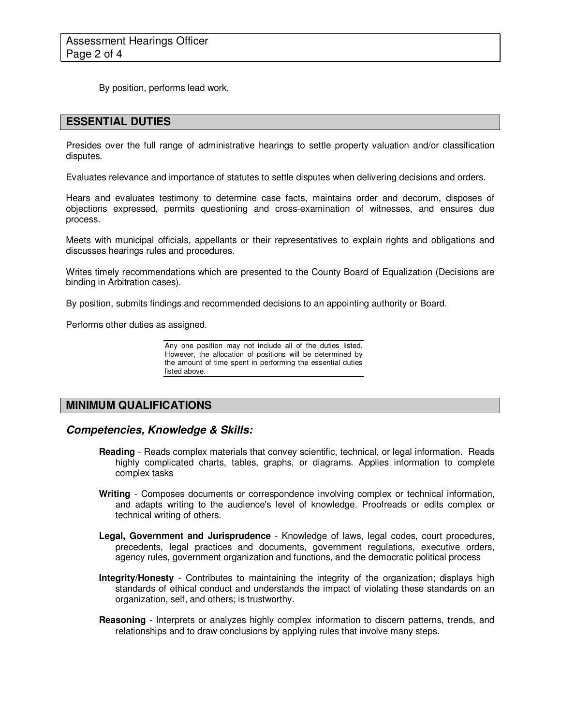By position, performs lead work.

### **ESSENTIAL DUTIES**

Presides over the full range of administrative hearings to settle property valuation and/or classification disputes.

Evaluates relevance and importance of statutes to settle disputes when delivering decisions and orders.

Hears and evaluates testimony to determine case facts, maintains order and decorum, disposes of objections expressed, permits questioning and cross-examination of witnesses, and ensures due process.

Meets with municipal officials, appellants or their representatives to explain rights and obligations and discusses hearings rules and procedures.

Writes timely recommendations which are presented to the County Board of Equalization (Decisions are binding in Arbitration cases).

By position, submits findings and recommended decisions to an appointing authority or Board.

Performs other duties as assigned.

Any one position may not include all of the duties listed. However, the allocation of positions will be determined by the amount of time spent in performing the essential duties listed above.

# **MINIMUM QUALIFICATIONS**

### **Competencies, Knowledge & Skills:**

- **Reading** Reads complex materials that convey scientific, technical, or legal information. Reads highly complicated charts, tables, graphs, or diagrams. Applies information to complete complex tasks
- **Writing** Composes documents or correspondence involving complex or technical information, and adapts writing to the audience's level of knowledge. Proofreads or edits complex or technical writing of others.
- **Legal, Government and Jurisprudence** Knowledge of laws, legal codes, court procedures, precedents, legal practices and documents, government regulations, executive orders, agency rules, government organization and functions, and the democratic political process
- **Integrity/Honesty** Contributes to maintaining the integrity of the organization; displays high standards of ethical conduct and understands the impact of violating these standards on an organization, self, and others; is trustworthy.
- **Reasoning** Interprets or analyzes highly complex information to discern patterns, trends, and relationships and to draw conclusions by applying rules that involve many steps.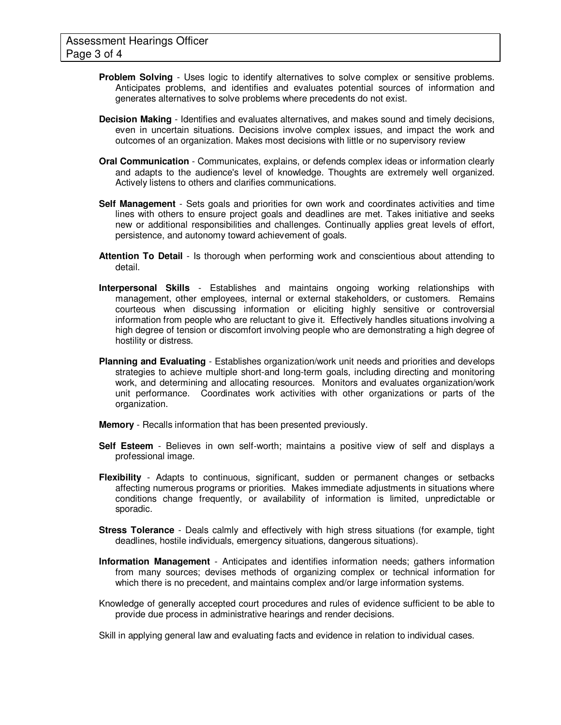- **Problem Solving** Uses logic to identify alternatives to solve complex or sensitive problems. Anticipates problems, and identifies and evaluates potential sources of information and generates alternatives to solve problems where precedents do not exist.
- **Decision Making**  Identifies and evaluates alternatives, and makes sound and timely decisions, even in uncertain situations. Decisions involve complex issues, and impact the work and outcomes of an organization. Makes most decisions with little or no supervisory review
- **Oral Communication** Communicates, explains, or defends complex ideas or information clearly and adapts to the audience's level of knowledge. Thoughts are extremely well organized. Actively listens to others and clarifies communications.
- **Self Management** Sets goals and priorities for own work and coordinates activities and time lines with others to ensure project goals and deadlines are met. Takes initiative and seeks new or additional responsibilities and challenges. Continually applies great levels of effort, persistence, and autonomy toward achievement of goals.
- **Attention To Detail** Is thorough when performing work and conscientious about attending to detail.
- **Interpersonal Skills** Establishes and maintains ongoing working relationships with management, other employees, internal or external stakeholders, or customers. Remains courteous when discussing information or eliciting highly sensitive or controversial information from people who are reluctant to give it. Effectively handles situations involving a high degree of tension or discomfort involving people who are demonstrating a high degree of hostility or distress.
- **Planning and Evaluating** Establishes organization/work unit needs and priorities and develops strategies to achieve multiple short-and long-term goals, including directing and monitoring work, and determining and allocating resources. Monitors and evaluates organization/work unit performance. Coordinates work activities with other organizations or parts of the organization.
- **Memory** Recalls information that has been presented previously.
- **Self Esteem** Believes in own self-worth; maintains a positive view of self and displays a professional image.
- **Flexibility** Adapts to continuous, significant, sudden or permanent changes or setbacks affecting numerous programs or priorities. Makes immediate adjustments in situations where conditions change frequently, or availability of information is limited, unpredictable or sporadic.
- **Stress Tolerance** Deals calmly and effectively with high stress situations (for example, tight deadlines, hostile individuals, emergency situations, dangerous situations).
- **Information Management** Anticipates and identifies information needs; gathers information from many sources; devises methods of organizing complex or technical information for which there is no precedent, and maintains complex and/or large information systems.
- Knowledge of generally accepted court procedures and rules of evidence sufficient to be able to provide due process in administrative hearings and render decisions.

Skill in applying general law and evaluating facts and evidence in relation to individual cases.